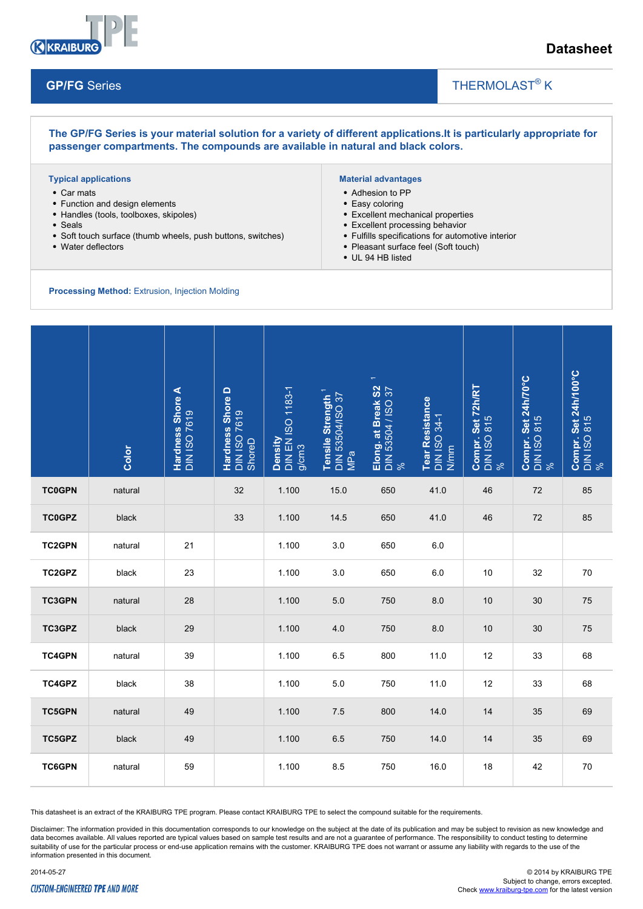

### **Datasheet**

#### **GP/FG** Series

# THERMOLAST<sup>®</sup> K

**The GP/FG Series is your material solution for a variety of different applications.It is particularly appropriate for passenger compartments. The compounds are available in natural and black colors.**

#### **Typical applications**

- Car mats
- Function and design elements
- Handles (tools, toolboxes, skipoles)
- Seals
- Soft touch surface (thumb wheels, push buttons, switches)
- Water deflectors

#### **Material advantages**

- Adhesion to PP
- Easy coloring
- Excellent mechanical properties
- Excellent processing behavior
- Fulfills specifications for automotive interior

 $\overline{\phantom{a}}$ 

- Pleasant surface feel (Soft touch)
- UL 94 HB listed

#### **Processing Method:** Extrusion, Injection Molding

|               | Color   | Hardness Shore A<br><b>DIN ISO 7619</b> | <b>Hardness Shore D</b><br>DIN ISO 7619<br>ShoreD | Density<br>DIN EN ISO 1183-1<br>g/cm3 | Tensile Strength <sup>1</sup><br>DIN 53504/ISO 37<br>MPa | $\overline{\phantom{a}}$<br>Elong. at Break S2<br>DIN 53504 / ISO 37<br>% | Tear Resistance<br>DIN ISO 34-1<br>N/mm | Compr. Set 72h/RT<br>DIN ISO 815<br>% | Compr. Set 24h/70°C<br>DIN ISO 815<br>% | Compr. Set 24h/100°C<br>DIN ISO 815<br>% |
|---------------|---------|-----------------------------------------|---------------------------------------------------|---------------------------------------|----------------------------------------------------------|---------------------------------------------------------------------------|-----------------------------------------|---------------------------------------|-----------------------------------------|------------------------------------------|
| <b>TC0GPN</b> | natural |                                         | 32                                                | 1.100                                 | 15.0                                                     | 650                                                                       | 41.0                                    | 46                                    | 72                                      | 85                                       |
| <b>TC0GPZ</b> | black   |                                         | 33                                                | 1.100                                 | 14.5                                                     | 650                                                                       | 41.0                                    | 46                                    | 72                                      | 85                                       |
| <b>TC2GPN</b> | natural | 21                                      |                                                   | 1.100                                 | 3.0                                                      | 650                                                                       | 6.0                                     |                                       |                                         |                                          |
| TC2GPZ        | black   | 23                                      |                                                   | 1.100                                 | 3.0                                                      | 650                                                                       | 6.0                                     | 10                                    | 32                                      | 70                                       |
| <b>TC3GPN</b> | natural | 28                                      |                                                   | 1.100                                 | $5.0$                                                    | 750                                                                       | 8.0                                     | 10                                    | 30                                      | $75\,$                                   |
| TC3GPZ        | black   | 29                                      |                                                   | 1.100                                 | 4.0                                                      | 750                                                                       | 8.0                                     | 10                                    | 30                                      | 75                                       |
| <b>TC4GPN</b> | natural | 39                                      |                                                   | 1.100                                 | 6.5                                                      | 800                                                                       | 11.0                                    | 12                                    | 33                                      | 68                                       |
| TC4GPZ        | black   | 38                                      |                                                   | 1.100                                 | 5.0                                                      | 750                                                                       | 11.0                                    | 12                                    | 33                                      | 68                                       |
| <b>TC5GPN</b> | natural | 49                                      |                                                   | 1.100                                 | 7.5                                                      | 800                                                                       | 14.0                                    | 14                                    | 35                                      | 69                                       |
| TC5GPZ        | black   | 49                                      |                                                   | 1.100                                 | 6.5                                                      | 750                                                                       | 14.0                                    | 14                                    | 35                                      | 69                                       |
| <b>TC6GPN</b> | natural | 59                                      |                                                   | 1.100                                 | 8.5                                                      | 750                                                                       | 16.0                                    | 18                                    | 42                                      | 70                                       |

This datasheet is an extract of the KRAIBURG TPE program. Please contact KRAIBURG TPE to select the compound suitable for the requirements.

Disclaimer: The information provided in this documentation corresponds to our knowledge on the subject at the date of its publication and may be subject to revision as new knowledge and data becomes available. All values reported are typical values based on sample test results and are not a guarantee of performance. The responsibility to conduct testing to determine suitability of use for the particular process or end-use application remains with the customer. KRAIBURG TPE does not warrant or assume any liability with regards to the use of the information presented in this document.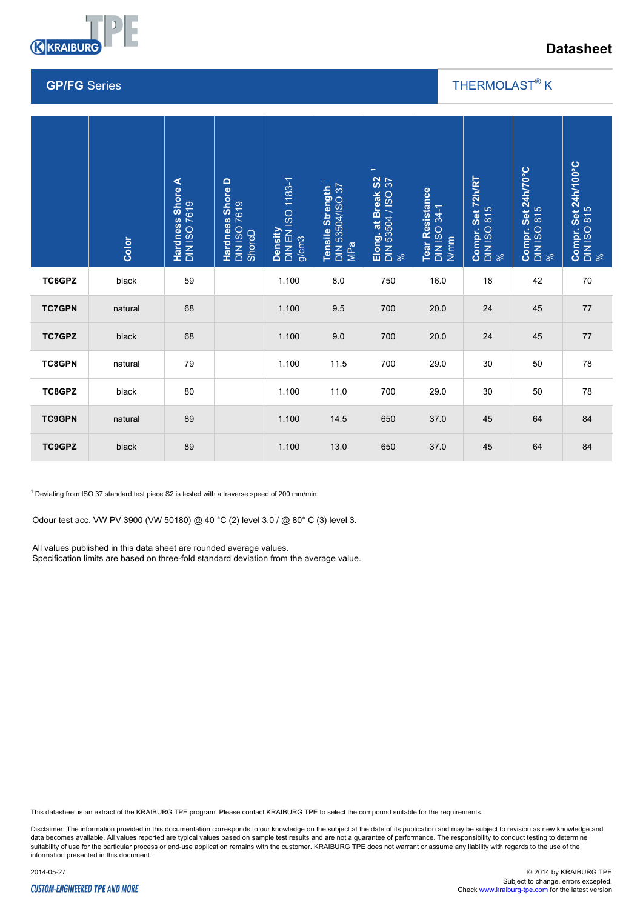

## **Datasheet**

#### **GP/FG** Series

### THERMOLAST<sup>®</sup> K

 $\overline{\phantom{a}}$ 

|               | Color                                                                                                                                                                                                                                                                                                                                                            | Hardness Shore A<br>DIN ISO 7619 | <b>Hardness Shore D</b><br>DIN ISO 7619<br>ShoreD | Density<br>DIN EN ISO 1183-1<br>g/cm3 | <b>DIN 53504/ISO 37</b><br>Tensile Strength<br>MPa | $\overline{\phantom{m}}$<br>Elong. at Break S2<br>DIN 53504 / ISO 37<br>% | Tear Resistance<br>DIN ISO 34-1<br><b>N/mm</b> | Compr. Set 72h/RT<br>DIN ISO 815<br>% | Compr. Set 24h/70°C<br>DIN ISO 815<br>% | Compr. Set 24h/100°C<br>DIN ISO 815<br>% |
|---------------|------------------------------------------------------------------------------------------------------------------------------------------------------------------------------------------------------------------------------------------------------------------------------------------------------------------------------------------------------------------|----------------------------------|---------------------------------------------------|---------------------------------------|----------------------------------------------------|---------------------------------------------------------------------------|------------------------------------------------|---------------------------------------|-----------------------------------------|------------------------------------------|
| TC6GPZ        | black                                                                                                                                                                                                                                                                                                                                                            | 59                               |                                                   | 1.100                                 | 8.0                                                | 750                                                                       | 16.0                                           | 18                                    | 42                                      | 70                                       |
| <b>TC7GPN</b> | natural                                                                                                                                                                                                                                                                                                                                                          | 68                               |                                                   | 1.100                                 | 9.5                                                | 700                                                                       | 20.0                                           | 24                                    | 45                                      | 77                                       |
| <b>TC7GPZ</b> | black                                                                                                                                                                                                                                                                                                                                                            | 68                               |                                                   | 1.100                                 | 9.0                                                | 700                                                                       | 20.0                                           | 24                                    | 45                                      | 77                                       |
| <b>TC8GPN</b> | natural                                                                                                                                                                                                                                                                                                                                                          | 79                               |                                                   | 1.100                                 | 11.5                                               | 700                                                                       | 29.0                                           | 30                                    | 50                                      | 78                                       |
| TC8GPZ        | black                                                                                                                                                                                                                                                                                                                                                            | 80                               |                                                   | 1.100                                 | 11.0                                               | 700                                                                       | 29.0                                           | 30                                    | 50                                      | 78                                       |
| <b>TC9GPN</b> | natural                                                                                                                                                                                                                                                                                                                                                          | 89                               |                                                   | 1.100                                 | 14.5                                               | 650                                                                       | 37.0                                           | 45                                    | 64                                      | 84                                       |
| TC9GPZ        | black                                                                                                                                                                                                                                                                                                                                                            | 89                               |                                                   | 1.100                                 | 13.0                                               | 650                                                                       | 37.0                                           | 45                                    | 64                                      | 84                                       |
|               | <sup>1</sup> Deviating from ISO 37 standard test piece S2 is tested with a traverse speed of 200 mm/min.<br>Odour test acc. VW PV 3900 (VW 50180) @ 40 °C (2) level 3.0 / @ 80° C (3) level 3.<br>All values published in this data sheet are rounded average values.<br>Specification limits are based on three-fold standard deviation from the average value. |                                  |                                                   |                                       |                                                    |                                                                           |                                                |                                       |                                         |                                          |

This datasheet is an extract of the KRAIBURG TPE program. Please contact KRAIBURG TPE to select the compound suitable for the requirements.

Disclaimer: The information provided in this documentation corresponds to our knowledge on the subject at the date of its publication and may be subject to revision as new knowledge and data becomes available. All values reported are typical values based on sample test results and are not a guarantee of performance. The responsibility to conduct testing to determine<br>suitability of use for the particular p information presented in this document.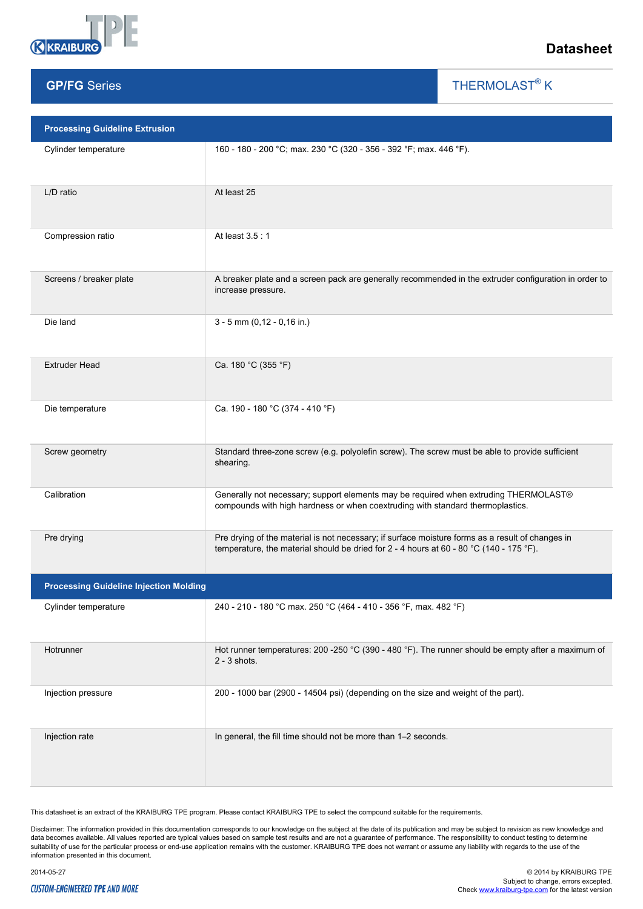

**GP/FG** Series

### **Datasheet**

THERMOLAST<sup>®</sup> K

 $\overline{\phantom{a}}$ 

| <b>Processing Guideline Extrusion</b>         |                                                                                                                                                                                             |
|-----------------------------------------------|---------------------------------------------------------------------------------------------------------------------------------------------------------------------------------------------|
| Cylinder temperature                          | 160 - 180 - 200 °C; max. 230 °C (320 - 356 - 392 °F; max. 446 °F).                                                                                                                          |
| L/D ratio                                     | At least 25                                                                                                                                                                                 |
| Compression ratio                             | At least 3.5:1                                                                                                                                                                              |
| Screens / breaker plate                       | A breaker plate and a screen pack are generally recommended in the extruder configuration in order to<br>increase pressure.                                                                 |
| Die land                                      | $3 - 5$ mm (0,12 - 0,16 in.)                                                                                                                                                                |
| <b>Extruder Head</b>                          | Ca. 180 °C (355 °F)                                                                                                                                                                         |
| Die temperature                               | Ca. 190 - 180 °C (374 - 410 °F)                                                                                                                                                             |
| Screw geometry                                | Standard three-zone screw (e.g. polyolefin screw). The screw must be able to provide sufficient<br>shearing.                                                                                |
| Calibration                                   | Generally not necessary; support elements may be required when extruding THERMOLAST®<br>compounds with high hardness or when coextruding with standard thermoplastics.                      |
| Pre drying                                    | Pre drying of the material is not necessary; if surface moisture forms as a result of changes in<br>temperature, the material should be dried for 2 - 4 hours at 60 - 80 °C (140 - 175 °F). |
| <b>Processing Guideline Injection Molding</b> |                                                                                                                                                                                             |
| Cylinder temperature                          | 240 - 210 - 180 °C max. 250 °C (464 - 410 - 356 °F, max. 482 °F)                                                                                                                            |
| Hotrunner                                     | Hot runner temperatures: 200 -250 °C (390 - 480 °F). The runner should be empty after a maximum of<br>$2 - 3$ shots.                                                                        |
| Injection pressure                            | 200 - 1000 bar (2900 - 14504 psi) (depending on the size and weight of the part).                                                                                                           |
| Injection rate                                | In general, the fill time should not be more than 1-2 seconds.                                                                                                                              |

This datasheet is an extract of the KRAIBURG TPE program. Please contact KRAIBURG TPE to select the compound suitable for the requirements.

Disclaimer: The information provided in this documentation corresponds to our knowledge on the subject at the date of its publication and may be subject to revision as new knowledge and<br>data becomes available. All values r